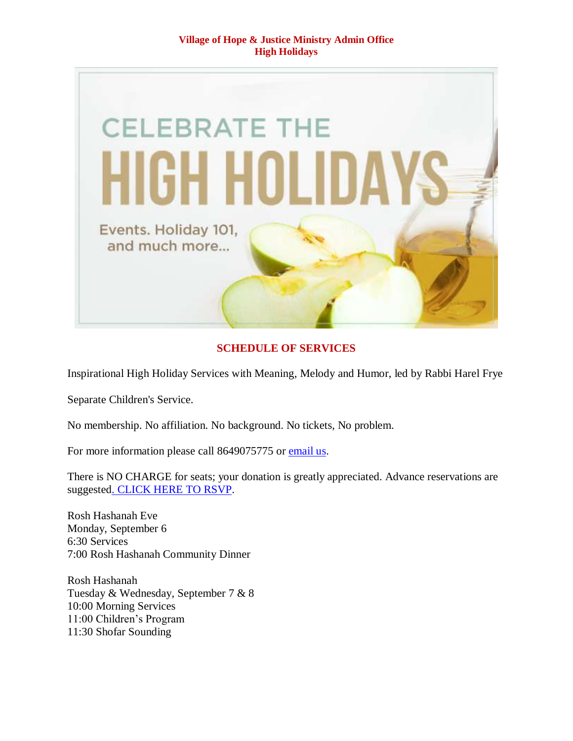

# **SCHEDULE OF SERVICES**

Inspirational High Holiday Services with Meaning, Melody and Humor, led by Rabbi Harel Frye

Separate Children's Service.

No membership. No affiliation. No background. No tickets, No problem.

For more information please call 8649075775 or [email us.](mailto:vohjm2013@gmail.com)

There is NO CHARGE for seats; your donation is greatly appreciated. Advance reservations are suggeste[d. CLICK HERE TO RSVP.](mailto:vohjm2013@gmail.com)

Rosh Hashanah Eve Monday, September 6 6:30 Services 7:00 Rosh Hashanah Community Dinner

Rosh Hashanah Tuesday & Wednesday, September 7 & 8 10:00 Morning Services 11:00 Children's Program 11:30 Shofar Sounding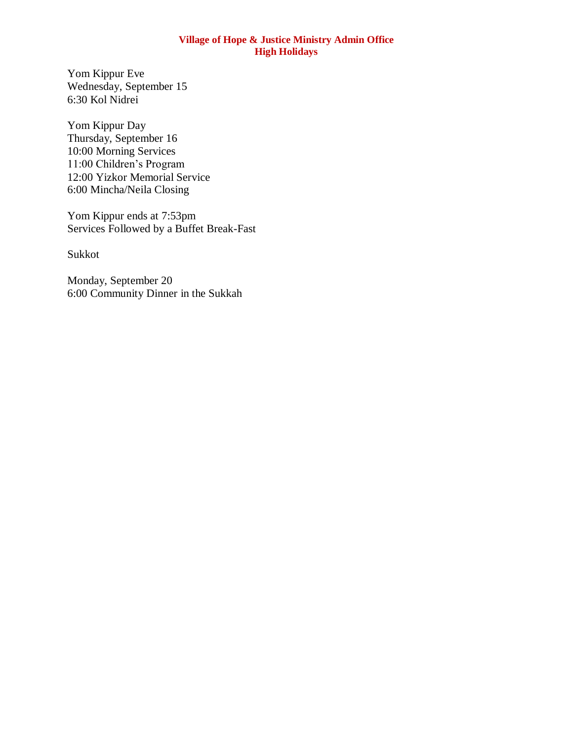Yom Kippur Eve Wednesday, September 15 6:30 Kol Nidrei

Yom Kippur Day Thursday, September 16 10:00 Morning Services 11:00 Children's Program 12:00 Yizkor Memorial Service 6:00 Mincha/Neila Closing

Yom Kippur ends at 7:53pm Services Followed by a Buffet Break-Fast

Sukkot

Monday, September 20 6:00 Community Dinner in the Sukkah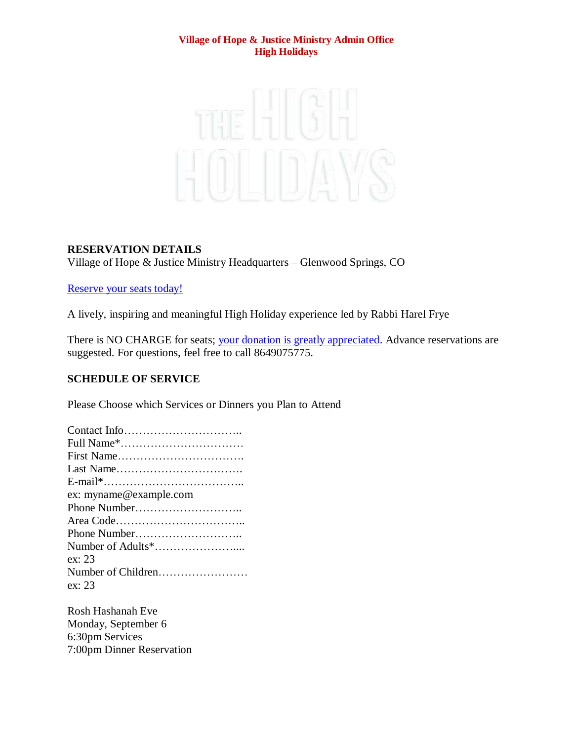

# **RESERVATION DETAILS**

Village of Hope & Justice Ministry Headquarters – Glenwood Springs, CO

# [Reserve your seats today!](mailto:vohjm2013@gmail.com)

A lively, inspiring and meaningful High Holiday experience led by Rabbi Harel Frye

There is NO CHARGE for seats; [your donation is greatly appreciated.](https://villageofhopejusticeministry.org/donation-donazione/) Advance reservations are suggested. For questions, feel free to call 8649075775.

# **SCHEDULE OF SERVICE**

Please Choose which Services or Dinners you Plan to Attend

| ex: myname@example.com |
|------------------------|
| Phone Number           |
|                        |
|                        |
|                        |
| ex: 23                 |
| Number of Children     |
| ex: 23                 |
|                        |

Rosh Hashanah Eve Monday, September 6 6:30pm Services 7:00pm Dinner Reservation